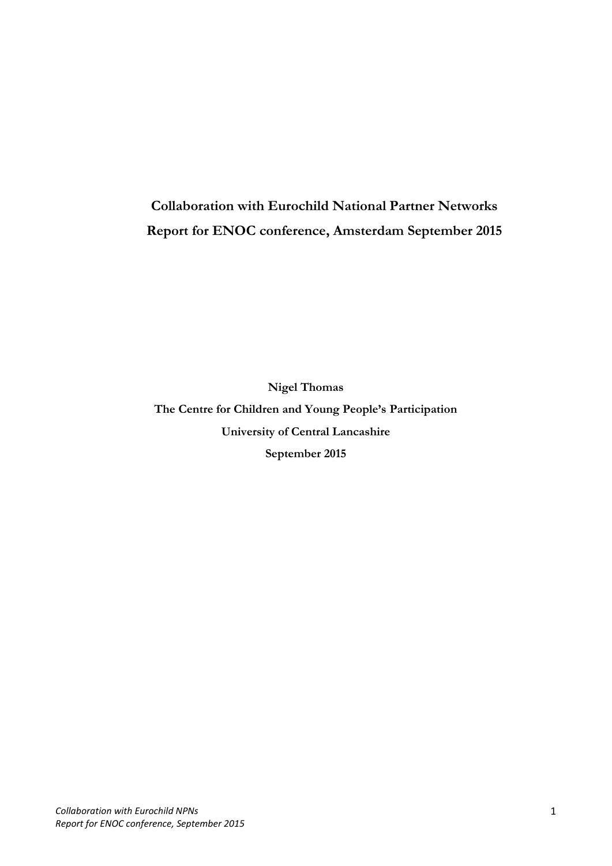# **Collaboration with Eurochild National Partner Networks Report for ENOC conference, Amsterdam September 2015**

**Nigel Thomas The Centre for Children and Young People's Participation University of Central Lancashire September 2015**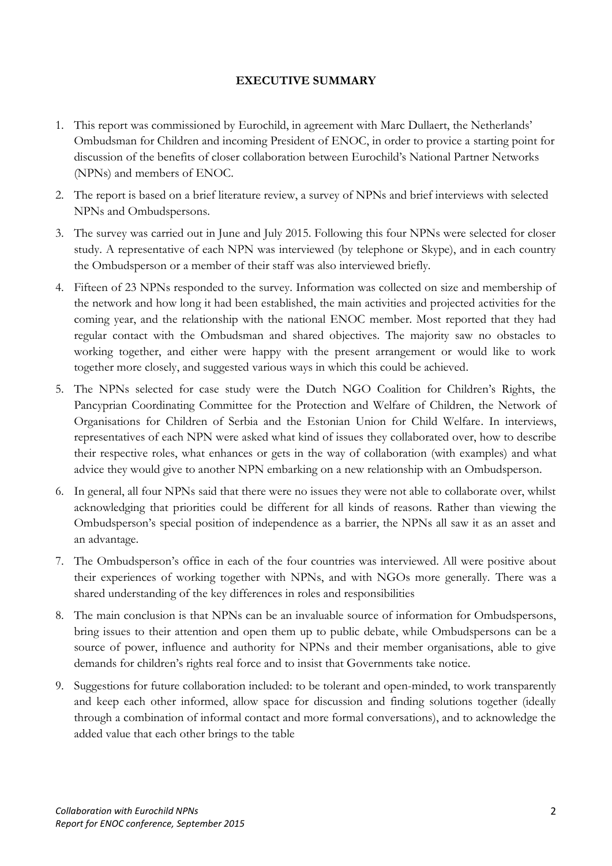## **EXECUTIVE SUMMARY**

- 1. This report was commissioned by Eurochild, in agreement with Marc Dullaert, the Netherlands' Ombudsman for Children and incoming President of ENOC, in order to provice a starting point for discussion of the benefits of closer collaboration between Eurochild's National Partner Networks (NPNs) and members of ENOC.
- 2. The report is based on a brief literature review, a survey of NPNs and brief interviews with selected NPNs and Ombudspersons.
- 3. The survey was carried out in June and July 2015. Following this four NPNs were selected for closer study. A representative of each NPN was interviewed (by telephone or Skype), and in each country the Ombudsperson or a member of their staff was also interviewed briefly.
- 4. Fifteen of 23 NPNs responded to the survey. Information was collected on size and membership of the network and how long it had been established, the main activities and projected activities for the coming year, and the relationship with the national ENOC member. Most reported that they had regular contact with the Ombudsman and shared objectives. The majority saw no obstacles to working together, and either were happy with the present arrangement or would like to work together more closely, and suggested various ways in which this could be achieved.
- 5. The NPNs selected for case study were the Dutch NGO Coalition for Children's Rights, the Pancyprian Coordinating Committee for the Protection and Welfare of Children, the Network of Organisations for Children of Serbia and the Estonian Union for Child Welfare. In interviews, representatives of each NPN were asked what kind of issues they collaborated over, how to describe their respective roles, what enhances or gets in the way of collaboration (with examples) and what advice they would give to another NPN embarking on a new relationship with an Ombudsperson.
- 6. In general, all four NPNs said that there were no issues they were not able to collaborate over, whilst acknowledging that priorities could be different for all kinds of reasons. Rather than viewing the Ombudsperson's special position of independence as a barrier, the NPNs all saw it as an asset and an advantage.
- 7. The Ombudsperson's office in each of the four countries was interviewed. All were positive about their experiences of working together with NPNs, and with NGOs more generally. There was a shared understanding of the key differences in roles and responsibilities
- 8. The main conclusion is that NPNs can be an invaluable source of information for Ombudspersons, bring issues to their attention and open them up to public debate, while Ombudspersons can be a source of power, influence and authority for NPNs and their member organisations, able to give demands for children's rights real force and to insist that Governments take notice.
- 9. Suggestions for future collaboration included: to be tolerant and open-minded, to work transparently and keep each other informed, allow space for discussion and finding solutions together (ideally through a combination of informal contact and more formal conversations), and to acknowledge the added value that each other brings to the table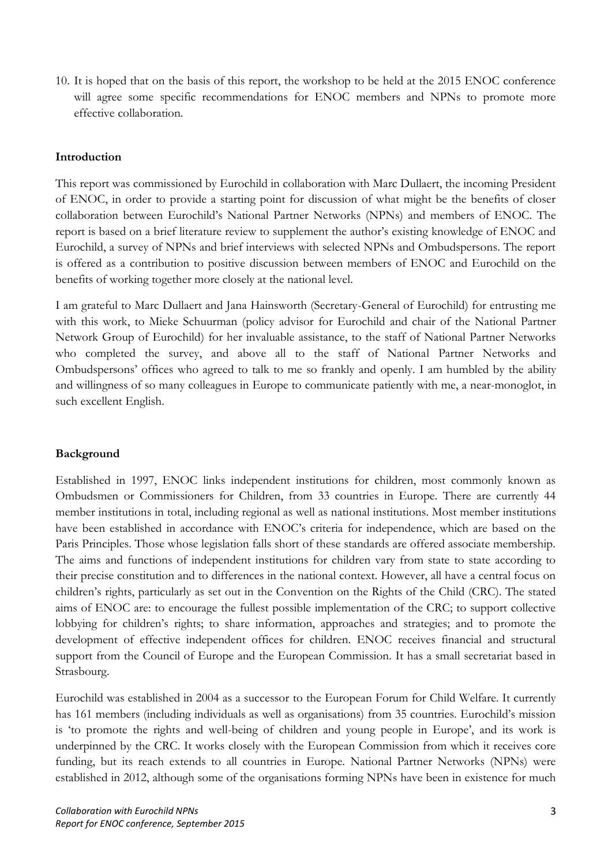10. It is hoped that on the basis of this report, the workshop to be held at the 2015 ENOC conference will agree some specific recommendations for ENOC members and NPNs to promote more effective collaboration.

#### **Introduction**

This report was commissioned by Eurochild in collaboration with Marc Dullaert, the incoming President of ENOC, in order to provide a starting point for discussion of what might be the benefits of closer collaboration between Eurochild's National Partner Networks (NPNs) and members of ENOC. The report is based on a brief literature review to supplement the author's existing knowledge of ENOC and Eurochild, a survey of NPNs and brief interviews with selected NPNs and Ombudspersons. The report is offered as a contribution to positive discussion between members of ENOC and Eurochild on the benefits of working together more closely at the national level.

I am grateful to Marc Dullaert and Jana Hainsworth (Secretary-General of Eurochild) for entrusting me with this work, to Mieke Schuurman (policy advisor for Eurochild and chair of the National Partner Network Group of Eurochild) for her invaluable assistance, to the staff of National Partner Networks who completed the survey, and above all to the staff of National Partner Networks and Ombudspersons' offices who agreed to talk to me so frankly and openly. I am humbled by the ability and willingness of so many colleagues in Europe to communicate patiently with me, a near-monoglot, in such excellent English.

## **Background**

Established in 1997, ENOC links independent institutions for children, most commonly known as Ombudsmen or Commissioners for Children, from 33 countries in Europe. There are currently 44 member institutions in total, including regional as well as national institutions. Most member institutions have been established in accordance with ENOC's criteria for independence, which are based on the Paris Principles. Those whose legislation falls short of these standards are offered associate membership. The aims and functions of independent institutions for children vary from state to state according to their precise constitution and to differences in the national context. However, all have a central focus on children's rights, particularly as set out in the Convention on the Rights of the Child (CRC). The stated aims of ENOC are: to encourage the fullest possible implementation of the CRC; to support collective lobbying for children's rights; to share information, approaches and strategies; and to promote the development of effective independent offices for children. ENOC receives financial and structural support from the Council of Europe and the European Commission. It has a small secretariat based in Strasbourg.

Eurochild was established in 2004 as a successor to the European Forum for Child Welfare. It currently has 161 members (including individuals as well as organisations) from 35 countries. Eurochild's mission is 'to promote the rights and well-being of children and young people in Europe', and its work is underpinned by the CRC. It works closely with the European Commission from which it receives core funding, but its reach extends to all countries in Europe. National Partner Networks (NPNs) were established in 2012, although some of the organisations forming NPNs have been in existence for much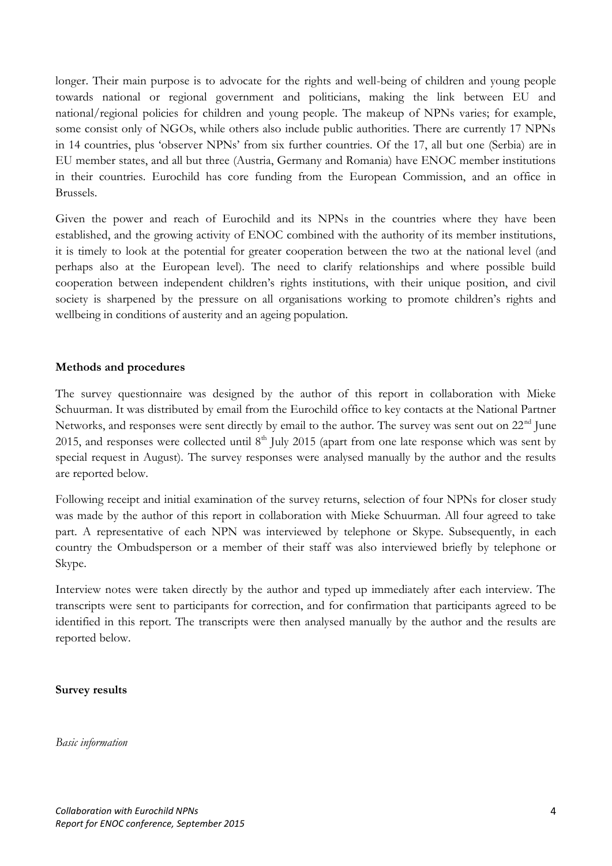longer. Their main purpose is to advocate for the rights and well-being of children and young people towards national or regional government and politicians, making the link between EU and national/regional policies for children and young people. The makeup of NPNs varies; for example, some consist only of NGOs, while others also include public authorities. There are currently 17 NPNs in 14 countries, plus 'observer NPNs' from six further countries. Of the 17, all but one (Serbia) are in EU member states, and all but three (Austria, Germany and Romania) have ENOC member institutions in their countries. Eurochild has core funding from the European Commission, and an office in Brussels.

Given the power and reach of Eurochild and its NPNs in the countries where they have been established, and the growing activity of ENOC combined with the authority of its member institutions, it is timely to look at the potential for greater cooperation between the two at the national level (and perhaps also at the European level). The need to clarify relationships and where possible build cooperation between independent children's rights institutions, with their unique position, and civil society is sharpened by the pressure on all organisations working to promote children's rights and wellbeing in conditions of austerity and an ageing population.

#### **Methods and procedures**

The survey questionnaire was designed by the author of this report in collaboration with Mieke Schuurman. It was distributed by email from the Eurochild office to key contacts at the National Partner Networks, and responses were sent directly by email to the author. The survey was sent out on  $22<sup>nd</sup>$  June 2015, and responses were collected until  $8<sup>th</sup>$  July 2015 (apart from one late response which was sent by special request in August). The survey responses were analysed manually by the author and the results are reported below.

Following receipt and initial examination of the survey returns, selection of four NPNs for closer study was made by the author of this report in collaboration with Mieke Schuurman. All four agreed to take part. A representative of each NPN was interviewed by telephone or Skype. Subsequently, in each country the Ombudsperson or a member of their staff was also interviewed briefly by telephone or Skype.

Interview notes were taken directly by the author and typed up immediately after each interview. The transcripts were sent to participants for correction, and for confirmation that participants agreed to be identified in this report. The transcripts were then analysed manually by the author and the results are reported below.

#### **Survey results**

*Basic information*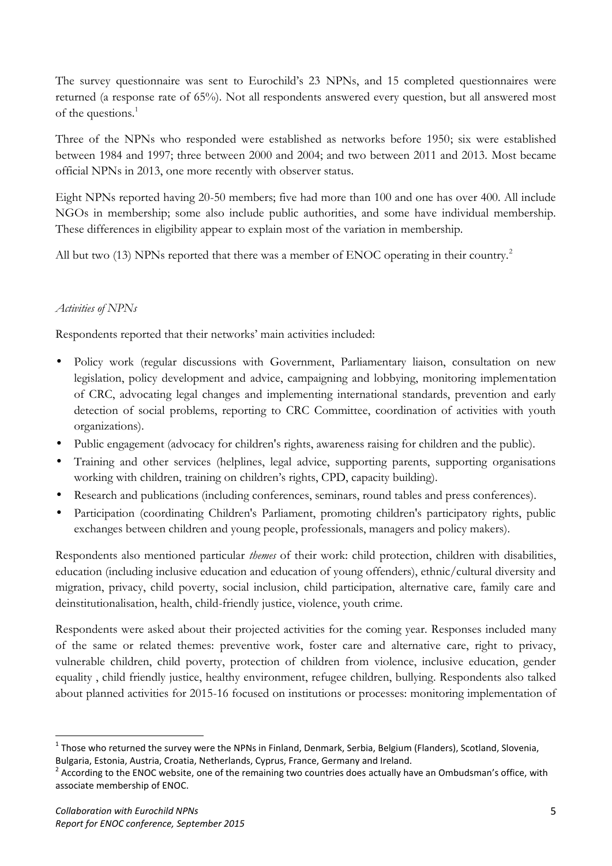The survey questionnaire was sent to Eurochild's 23 NPNs, and 15 completed questionnaires were returned (a response rate of 65%). Not all respondents answered every question, but all answered most of the questions.<sup>1</sup>

Three of the NPNs who responded were established as networks before 1950; six were established between 1984 and 1997; three between 2000 and 2004; and two between 2011 and 2013. Most became official NPNs in 2013, one more recently with observer status.

Eight NPNs reported having 20-50 members; five had more than 100 and one has over 400. All include NGOs in membership; some also include public authorities, and some have individual membership. These differences in eligibility appear to explain most of the variation in membership.

All but two (13) NPNs reported that there was a member of ENOC operating in their country.<sup>2</sup>

## *Activities of NPNs*

Respondents reported that their networks' main activities included:

- Policy work (regular discussions with Government, Parliamentary liaison, consultation on new legislation, policy development and advice, campaigning and lobbying, monitoring implementation of CRC, advocating legal changes and implementing international standards, prevention and early detection of social problems, reporting to CRC Committee, coordination of activities with youth organizations).
- Public engagement (advocacy for children's rights, awareness raising for children and the public).
- Training and other services (helplines, legal advice, supporting parents, supporting organisations working with children, training on children's rights, CPD, capacity building).
- Research and publications (including conferences, seminars, round tables and press conferences).
- Participation (coordinating Children's Parliament, promoting children's participatory rights, public exchanges between children and young people, professionals, managers and policy makers).

Respondents also mentioned particular *themes* of their work: child protection, children with disabilities, education (including inclusive education and education of young offenders), ethnic/cultural diversity and migration, privacy, child poverty, social inclusion, child participation, alternative care, family care and deinstitutionalisation, health, child-friendly justice, violence, youth crime.

Respondents were asked about their projected activities for the coming year. Responses included many of the same or related themes: preventive work, foster care and alternative care, right to privacy, vulnerable children, child poverty, protection of children from violence, inclusive education, gender equality , child friendly justice, healthy environment, refugee children, bullying. Respondents also talked about planned activities for 2015-16 focused on institutions or processes: monitoring implementation of

 $1$  Those who returned the survey were the NPNs in Finland, Denmark, Serbia, Belgium (Flanders), Scotland, Slovenia,

Bulgaria, Estonia, Austria, Croatia, Netherlands, Cyprus, France, Germany and Ireland.<br><sup>2</sup> According to the ENOC website, one of the remaining two countries does actually have an Ombudsman's office, with associate membership of ENOC.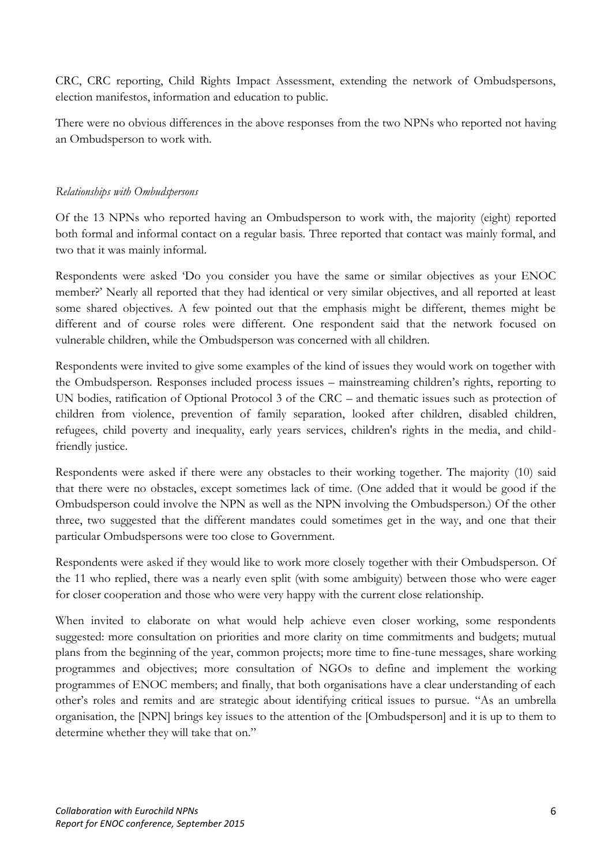CRC, CRC reporting, Child Rights Impact Assessment, extending the network of Ombudspersons, election manifestos, information and education to public.

There were no obvious differences in the above responses from the two NPNs who reported not having an Ombudsperson to work with.

## *Relationships with Ombudspersons*

Of the 13 NPNs who reported having an Ombudsperson to work with, the majority (eight) reported both formal and informal contact on a regular basis. Three reported that contact was mainly formal, and two that it was mainly informal.

Respondents were asked 'Do you consider you have the same or similar objectives as your ENOC member?' Nearly all reported that they had identical or very similar objectives, and all reported at least some shared objectives. A few pointed out that the emphasis might be different, themes might be different and of course roles were different. One respondent said that the network focused on vulnerable children, while the Ombudsperson was concerned with all children.

Respondents were invited to give some examples of the kind of issues they would work on together with the Ombudsperson. Responses included process issues – mainstreaming children's rights, reporting to UN bodies, ratification of Optional Protocol 3 of the CRC – and thematic issues such as protection of children from violence, prevention of family separation, looked after children, disabled children, refugees, child poverty and inequality, early years services, children's rights in the media, and child friendly justice.

Respondents were asked if there were any obstacles to their working together. The majority (10) said that there were no obstacles, except sometimes lack of time. (One added that it would be good if the Ombudsperson could involve the NPN as well as the NPN involving the Ombudsperson.) Of the other three, two suggested that the different mandates could sometimes get in the way, and one that their particular Ombudspersons were too close to Government.

Respondents were asked if they would like to work more closely together with their Ombudsperson. Of the 11 who replied, there was a nearly even split (with some ambiguity) between those who were eager for closer cooperation and those who were very happy with the current close relationship.

When invited to elaborate on what would help achieve even closer working, some respondents suggested: more consultation on priorities and more clarity on time commitments and budgets; mutual plans from the beginning of the year, common projects; more time to fine-tune messages, share working programmes and objectives; more consultation of NGOs to define and implement the working programmes of ENOC members; and finally, that both organisations have a clear understanding of each other's roles and remits and are strategic about identifying critical issues to pursue. "As an umbrella organisation, the [NPN] brings key issues to the attention of the [Ombudsperson] and it is up to them to determine whether they will take that on."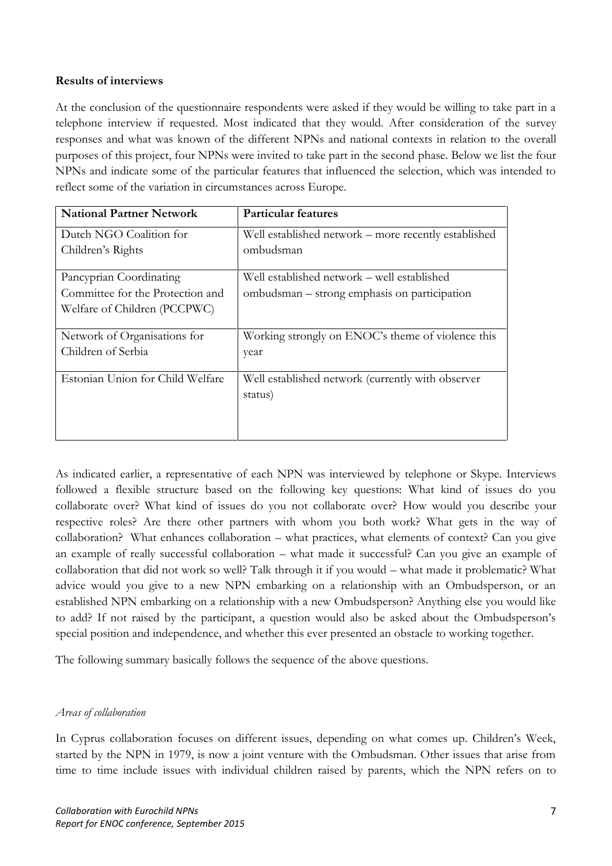#### **Results of interviews**

At the conclusion of the questionnaire respondents were asked if they would be willing to take part in a telephone interview if requested. Most indicated that they would. After consideration of the survey responses and what was known of the different NPNs and national contexts in relation to the overall purposes of this project, four NPNs were invited to take part in the second phase. Below we list the four NPNs and indicate some of the particular features that influenced the selection, which was intended to reflect some of the variation in circumstances across Europe.

| <b>National Partner Network</b>  | <b>Particular features</b>                           |
|----------------------------------|------------------------------------------------------|
| Dutch NGO Coalition for          | Well established network – more recently established |
| Children's Rights                | ombudsman                                            |
| Pancyprian Coordinating          | Well established network – well established          |
| Committee for the Protection and | ombudsman – strong emphasis on participation         |
| Welfare of Children (PCCPWC)     |                                                      |
| Network of Organisations for     | Working strongly on ENOC's theme of violence this    |
| Children of Serbia               | year                                                 |
| Estonian Union for Child Welfare | Well established network (currently with observer    |
|                                  | status)                                              |
|                                  |                                                      |
|                                  |                                                      |

As indicated earlier, a representative of each NPN was interviewed by telephone or Skype. Interviews followed a flexible structure based on the following key questions: What kind of issues do you collaborate over? What kind of issues do you not collaborate over? How would you describe your respective roles? Are there other partners with whom you both work? What gets in the way of collaboration? What enhances collaboration – what practices, what elements of context? Can you give an example of really successful collaboration – what made it successful? Can you give an example of collaboration that did not work so well? Talk through it if you would – what made it problematic? What advice would you give to a new NPN embarking on a relationship with an Ombudsperson, or an established NPN embarking on a relationship with a new Ombudsperson? Anything else you would like to add? If not raised by the participant, a question would also be asked about the Ombudsperson's special position and independence, and whether this ever presented an obstacle to working together.

The following summary basically follows the sequence of the above questions.

#### *Areas of collaboration*

In Cyprus collaboration focuses on different issues, depending on what comes up. Children's Week, started by the NPN in 1979, is now a joint venture with the Ombudsman. Other issues that arise from time to time include issues with individual children raised by parents, which the NPN refers on to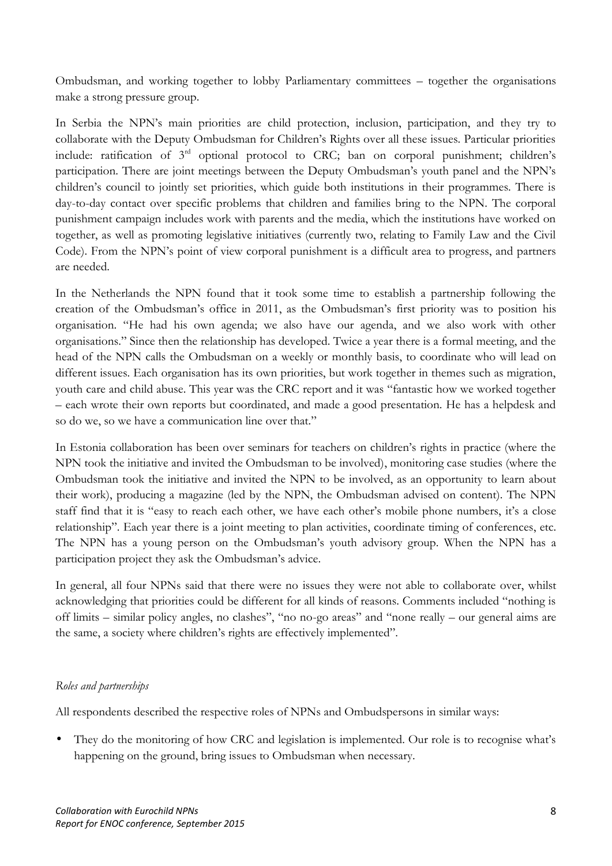Ombudsman, and working together to lobby Parliamentary committees – together the organisations make a strong pressure group.

In Serbia the NPN's main priorities are child protection, inclusion, participation, and they try to collaborate with the Deputy Ombudsman for Children's Rights over all these issues. Particular priorities include: ratification of 3rd optional protocol to CRC; ban on corporal punishment; children's participation. There are joint meetings between the Deputy Ombudsman's youth panel and the NPN's children's council to jointly set priorities, which guide both institutions in their programmes. There is day-to-day contact over specific problems that children and families bring to the NPN. The corporal punishment campaign includes work with parents and the media, which the institutions have worked on together, as well as promoting legislative initiatives (currently two, relating to Family Law and the Civil Code). From the NPN's point of view corporal punishment is a difficult area to progress, and partners are needed.

In the Netherlands the NPN found that it took some time to establish a partnership following the creation of the Ombudsman's office in 2011, as the Ombudsman's first priority was to position his organisation. "He had his own agenda; we also have our agenda, and we also work with other organisations." Since then the relationship has developed. Twice a year there is a formal meeting, and the head of the NPN calls the Ombudsman on a weekly or monthly basis, to coordinate who will lead on different issues. Each organisation has its own priorities, but work together in themes such as migration, youth care and child abuse. This year was the CRC report and it was "fantastic how we worked together – each wrote their own reports but coordinated, and made a good presentation. He has a helpdesk and so do we, so we have a communication line over that."

In Estonia collaboration has been over seminars for teachers on children's rights in practice (where the NPN took the initiative and invited the Ombudsman to be involved), monitoring case studies (where the Ombudsman took the initiative and invited the NPN to be involved, as an opportunity to learn about their work), producing a magazine (led by the NPN, the Ombudsman advised on content). The NPN staff find that it is "easy to reach each other, we have each other's mobile phone numbers, it's a close relationship". Each year there is a joint meeting to plan activities, coordinate timing of conferences, etc. The NPN has a young person on the Ombudsman's youth advisory group. When the NPN has a participation project they ask the Ombudsman's advice.

In general, all four NPNs said that there were no issues they were not able to collaborate over, whilst acknowledging that priorities could be different for all kinds of reasons. Comments included "nothing is off limits – similar policy angles, no clashes", "no no-go areas" and "none really – our general aims are the same, a society where children's rights are effectively implemented".

## *Roles and partnerships*

All respondents described the respective roles of NPNs and Ombudspersons in similar ways:

 They do the monitoring of how CRC and legislation is implemented. Our role is to recognise what's happening on the ground, bring issues to Ombudsman when necessary.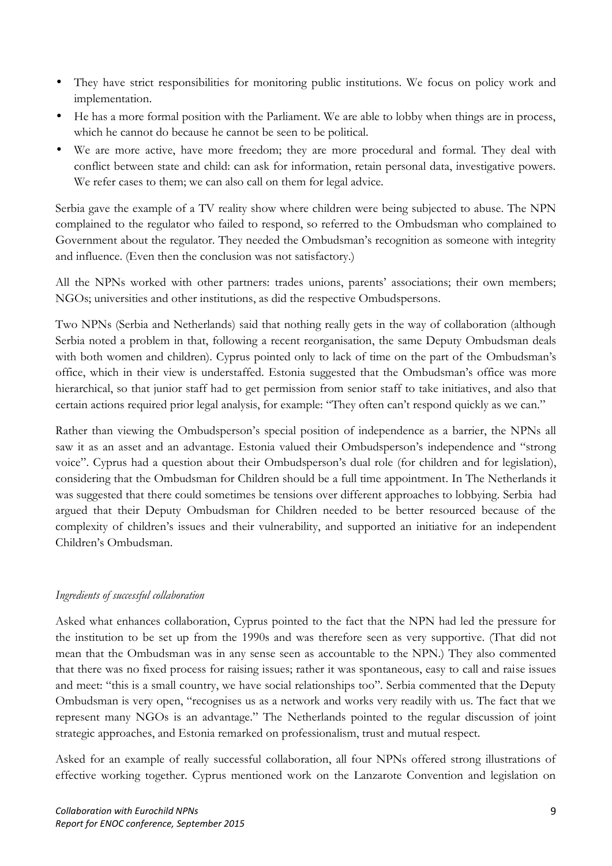- They have strict responsibilities for monitoring public institutions. We focus on policy work and implementation.
- He has a more formal position with the Parliament. We are able to lobby when things are in process, which he cannot do because he cannot be seen to be political.
- We are more active, have more freedom; they are more procedural and formal. They deal with conflict between state and child: can ask for information, retain personal data, investigative powers. We refer cases to them; we can also call on them for legal advice.

Serbia gave the example of a TV reality show where children were being subjected to abuse. The NPN complained to the regulator who failed to respond, so referred to the Ombudsman who complained to Government about the regulator. They needed the Ombudsman's recognition as someone with integrity and influence. (Even then the conclusion was not satisfactory.)

All the NPNs worked with other partners: trades unions, parents' associations; their own members; NGOs; universities and other institutions, as did the respective Ombudspersons.

Two NPNs (Serbia and Netherlands) said that nothing really gets in the way of collaboration (although Serbia noted a problem in that, following a recent reorganisation, the same Deputy Ombudsman deals with both women and children). Cyprus pointed only to lack of time on the part of the Ombudsman's office, which in their view is understaffed. Estonia suggested that the Ombudsman's office was more hierarchical, so that junior staff had to get permission from senior staff to take initiatives, and also that certain actions required prior legal analysis, for example: "They often can't respond quickly as we can."

Rather than viewing the Ombudsperson's special position of independence as a barrier, the NPNs all saw it as an asset and an advantage. Estonia valued their Ombudsperson's independence and "strong voice". Cyprus had a question about their Ombudsperson's dual role (for children and for legislation), considering that the Ombudsman for Children should be a full time appointment. In The Netherlands it was suggested that there could sometimes be tensions over different approaches to lobbying. Serbia had argued that their Deputy Ombudsman for Children needed to be better resourced because of the complexity of children's issues and their vulnerability, and supported an initiative for an independent Children's Ombudsman.

## *Ingredients of successful collaboration*

Asked what enhances collaboration, Cyprus pointed to the fact that the NPN had led the pressure for the institution to be set up from the 1990s and was therefore seen as very supportive. (That did not mean that the Ombudsman was in any sense seen as accountable to the NPN.) They also commented that there was no fixed process for raising issues; rather it was spontaneous, easy to call and raise issues and meet: "this is a small country, we have social relationships too". Serbia commented that the Deputy Ombudsman is very open, "recognises us as a network and works very readily with us. The fact that we represent many NGOs is an advantage." The Netherlands pointed to the regular discussion of joint strategic approaches, and Estonia remarked on professionalism, trust and mutual respect.

Asked for an example of really successful collaboration, all four NPNs offered strong illustrations of effective working together. Cyprus mentioned work on the Lanzarote Convention and legislation on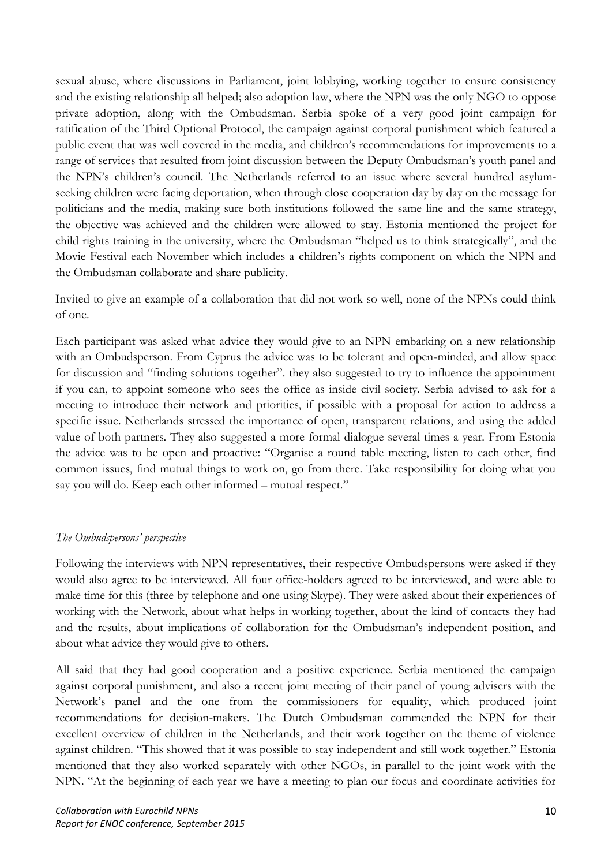sexual abuse, where discussions in Parliament, joint lobbying, working together to ensure consistency and the existing relationship all helped; also adoption law, where the NPN was the only NGO to oppose private adoption, along with the Ombudsman. Serbia spoke of a very good joint campaign for ratification of the Third Optional Protocol, the campaign against corporal punishment which featured a public event that was well covered in the media, and children's recommendations for improvements to a range of services that resulted from joint discussion between the Deputy Ombudsman's youth panel and the NPN's children's council. The Netherlands referred to an issue where several hundred asylum seeking children were facing deportation, when through close cooperation day by day on the message for politicians and the media, making sure both institutions followed the same line and the same strategy, the objective was achieved and the children were allowed to stay. Estonia mentioned the project for child rights training in the university, where the Ombudsman "helped us to think strategically", and the Movie Festival each November which includes a children's rights component on which the NPN and the Ombudsman collaborate and share publicity.

Invited to give an example of a collaboration that did not work so well, none of the NPNs could think of one.

Each participant was asked what advice they would give to an NPN embarking on a new relationship with an Ombudsperson. From Cyprus the advice was to be tolerant and open-minded, and allow space for discussion and "finding solutions together". they also suggested to try to influence the appointment if you can, to appoint someone who sees the office as inside civil society. Serbia advised to ask for a meeting to introduce their network and priorities, if possible with a proposal for action to address a specific issue. Netherlands stressed the importance of open, transparent relations, and using the added value of both partners. They also suggested a more formal dialogue several times a year. From Estonia the advice was to be open and proactive: "Organise a round table meeting, listen to each other, find common issues, find mutual things to work on, go from there. Take responsibility for doing what you say you will do. Keep each other informed – mutual respect."

## *The Ombudspersons' perspective*

Following the interviews with NPN representatives, their respective Ombudspersons were asked if they would also agree to be interviewed. All four office-holders agreed to be interviewed, and were able to make time for this (three by telephone and one using Skype). They were asked about their experiences of working with the Network, about what helps in working together, about the kind of contacts they had and the results, about implications of collaboration for the Ombudsman's independent position, and about what advice they would give to others.

All said that they had good cooperation and a positive experience. Serbia mentioned the campaign against corporal punishment, and also a recent joint meeting of their panel of young advisers with the Network's panel and the one from the commissioners for equality, which produced joint recommendations for decision-makers. The Dutch Ombudsman commended the NPN for their excellent overview of children in the Netherlands, and their work together on the theme of violence against children. "This showed that it was possible to stay independent and still work together." Estonia mentioned that they also worked separately with other NGOs, in parallel to the joint work with the NPN. "At the beginning of each year we have a meeting to plan our focus and coordinate activities for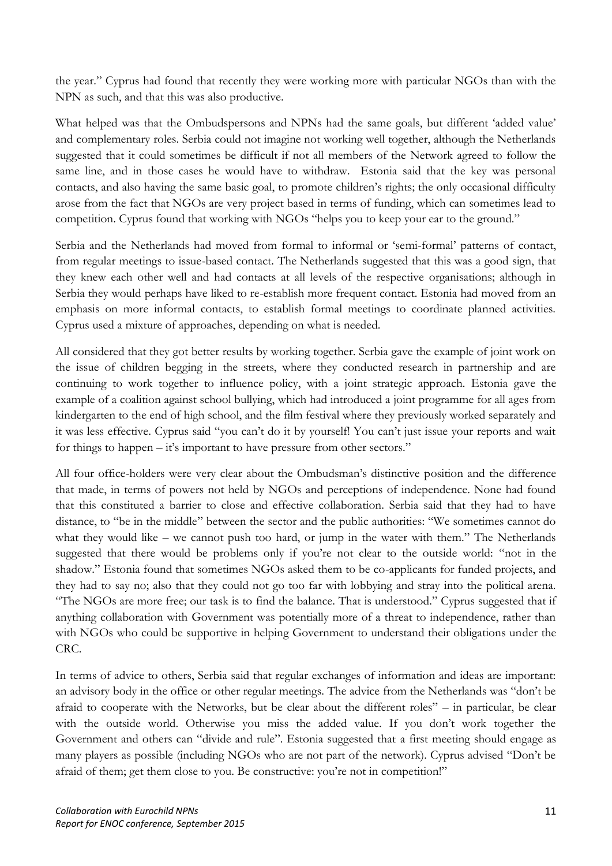the year." Cyprus had found that recently they were working more with particular NGOs than with the NPN as such, and that this was also productive.

What helped was that the Ombudspersons and NPNs had the same goals, but different 'added value' and complementary roles. Serbia could not imagine not working well together, although the Netherlands suggested that it could sometimes be difficult if not all members of the Network agreed to follow the same line, and in those cases he would have to withdraw. Estonia said that the key was personal contacts, and also having the same basic goal, to promote children's rights; the only occasional difficulty arose from the fact that NGOs are very project based in terms of funding, which can sometimes lead to competition. Cyprus found that working with NGOs "helps you to keep your ear to the ground."

Serbia and the Netherlands had moved from formal to informal or 'semi-formal' patterns of contact, from regular meetings to issue-based contact. The Netherlands suggested that this was a good sign, that they knew each other well and had contacts at all levels of the respective organisations; although in Serbia they would perhaps have liked to re-establish more frequent contact. Estonia had moved from an emphasis on more informal contacts, to establish formal meetings to coordinate planned activities. Cyprus used a mixture of approaches, depending on what is needed.

All considered that they got better results by working together. Serbia gave the example of joint work on the issue of children begging in the streets, where they conducted research in partnership and are continuing to work together to influence policy, with a joint strategic approach. Estonia gave the example of a coalition against school bullying, which had introduced a joint programme for all ages from kindergarten to the end of high school, and the film festival where they previously worked separately and it was less effective. Cyprus said "you can't do it by yourself! You can't just issue your reports and wait for things to happen – it's important to have pressure from other sectors."

All four office-holders were very clear about the Ombudsman's distinctive position and the difference that made, in terms of powers not held by NGOs and perceptions of independence. None had found that this constituted a barrier to close and effective collaboration. Serbia said that they had to have distance, to "be in the middle" between the sector and the public authorities: "We sometimes cannot do what they would like – we cannot push too hard, or jump in the water with them." The Netherlands suggested that there would be problems only if you're not clear to the outside world: "not in the shadow." Estonia found that sometimes NGOs asked them to be co-applicants for funded projects, and they had to say no; also that they could not go too far with lobbying and stray into the political arena. "The NGOs are more free; our task is to find the balance. That is understood." Cyprus suggested that if anything collaboration with Government was potentially more of a threat to independence, rather than with NGOs who could be supportive in helping Government to understand their obligations under the CRC.

In terms of advice to others, Serbia said that regular exchanges of information and ideas are important: an advisory body in the office or other regular meetings. The advice from the Netherlands was "don't be afraid to cooperate with the Networks, but be clear about the different roles" – in particular, be clear with the outside world. Otherwise you miss the added value. If you don't work together the Government and others can "divide and rule". Estonia suggested that a first meeting should engage as many players as possible (including NGOs who are not part of the network). Cyprus advised "Don't be afraid of them; get them close to you. Be constructive: you're not in competition!"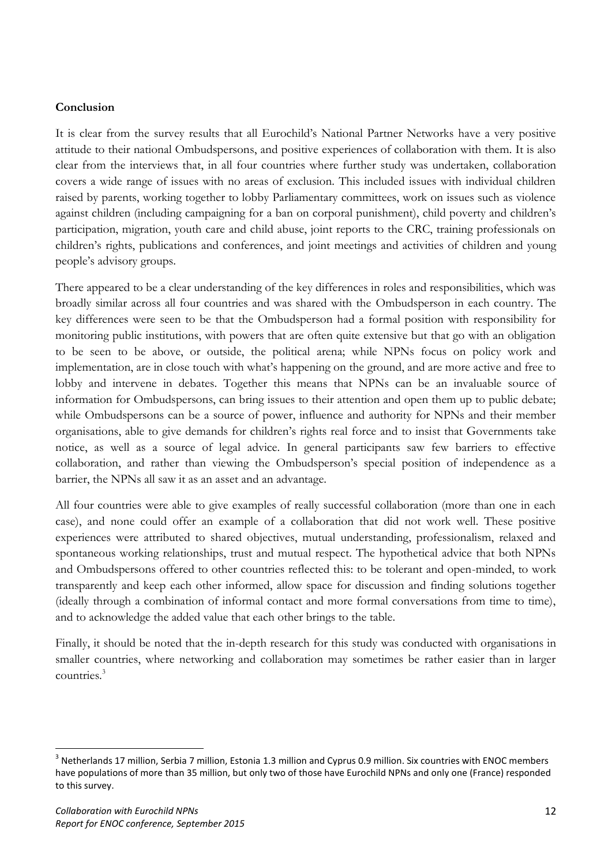#### **Conclusion**

It is clear from the survey results that all Eurochild's National Partner Networks have a very positive attitude to their national Ombudspersons, and positive experiences of collaboration with them. It is also clear from the interviews that, in all four countries where further study was undertaken, collaboration covers a wide range of issues with no areas of exclusion. This included issues with individual children raised by parents, working together to lobby Parliamentary committees, work on issues such as violence against children (including campaigning for a ban on corporal punishment), child poverty and children's participation, migration, youth care and child abuse, joint reports to the CRC, training professionals on children's rights, publications and conferences, and joint meetings and activities of children and young people's advisory groups.

There appeared to be a clear understanding of the key differences in roles and responsibilities, which was broadly similar across all four countries and was shared with the Ombudsperson in each country. The key differences were seen to be that the Ombudsperson had a formal position with responsibility for monitoring public institutions, with powers that are often quite extensive but that go with an obligation to be seen to be above, or outside, the political arena; while NPNs focus on policy work and implementation, are in close touch with what's happening on the ground, and are more active and free to lobby and intervene in debates. Together this means that NPNs can be an invaluable source of information for Ombudspersons, can bring issues to their attention and open them up to public debate; while Ombudspersons can be a source of power, influence and authority for NPNs and their member organisations, able to give demands for children's rights real force and to insist that Governments take notice, as well as a source of legal advice. In general participants saw few barriers to effective collaboration, and rather than viewing the Ombudsperson's special position of independence as a barrier, the NPNs all saw it as an asset and an advantage.

All four countries were able to give examples of really successful collaboration (more than one in each case), and none could offer an example of a collaboration that did not work well. These positive experiences were attributed to shared objectives, mutual understanding, professionalism, relaxed and spontaneous working relationships, trust and mutual respect. The hypothetical advice that both NPNs and Ombudspersons offered to other countries reflected this: to be tolerant and open-minded, to work transparently and keep each other informed, allow space for discussion and finding solutions together (ideally through a combination of informal contact and more formal conversations from time to time), and to acknowledge the added value that each other brings to the table.

Finally, it should be noted that the in-depth research for this study was conducted with organisations in smaller countries, where networking and collaboration may sometimes be rather easier than in larger countries.<sup>3</sup>

 $3$  Netherlands 17 million, Serbia 7 million, Estonia 1.3 million and Cyprus 0.9 million. Six countries with ENOC members have populations of more than 35 million, but only two of those have Eurochild NPNs and only one (France) responded to this survey.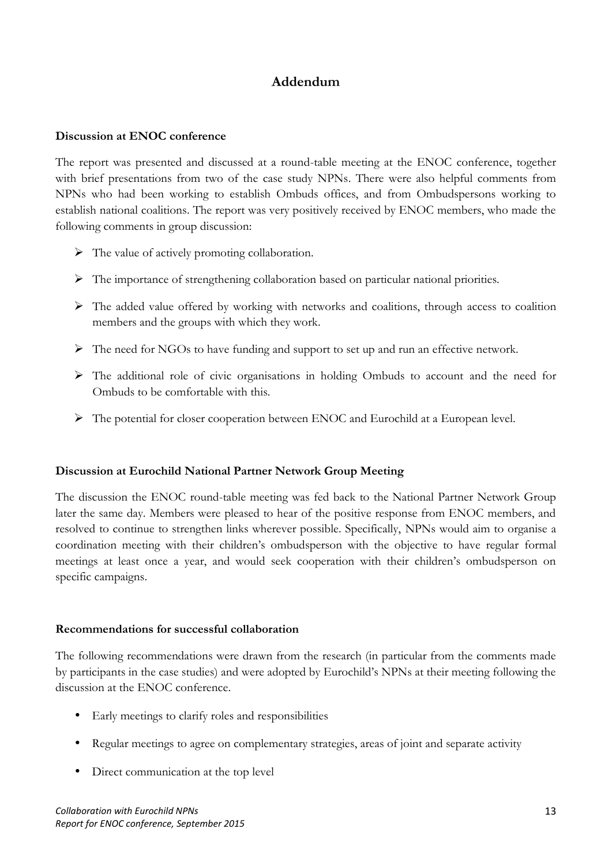## **Addendum**

#### **Discussion at ENOC conference**

The report was presented and discussed at a round-table meeting at the ENOC conference, together with brief presentations from two of the case study NPNs. There were also helpful comments from NPNs who had been working to establish Ombuds offices, and from Ombudspersons working to establish national coalitions. The report was very positively received by ENOC members, who made the following comments in group discussion:

- $\triangleright$  The value of actively promoting collaboration.
- $\triangleright$  The importance of strengthening collaboration based on particular national priorities.
- $\triangleright$  The added value offered by working with networks and coalitions, through access to coalition members and the groups with which they work.
- $\triangleright$  The need for NGOs to have funding and support to set up and run an effective network.
- The additional role of civic organisations in holding Ombuds to account and the need for Ombuds to be comfortable with this.
- $\triangleright$  The potential for closer cooperation between ENOC and Eurochild at a European level.

#### **Discussion at Eurochild National Partner Network Group Meeting**

The discussion the ENOC round-table meeting was fed back to the National Partner Network Group later the same day. Members were pleased to hear of the positive response from ENOC members, and resolved to continue to strengthen links wherever possible. Specifically, NPNs would aim to organise a coordination meeting with their children's ombudsperson with the objective to have regular formal meetings at least once a year, and would seek cooperation with their children's ombudsperson on specific campaigns.

#### **Recommendations for successful collaboration**

The following recommendations were drawn from the research (in particular from the comments made by participants in the case studies) and were adopted by Eurochild's NPNs at their meeting following the discussion at the ENOC conference.

- Early meetings to clarify roles and responsibilities
- Regular meetings to agree on complementary strategies, areas of joint and separate activity
- Direct communication at the top level